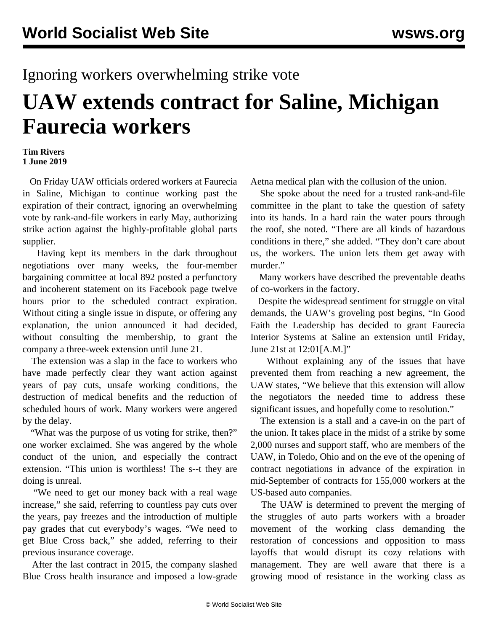## Ignoring workers overwhelming strike vote

## **UAW extends contract for Saline, Michigan Faurecia workers**

## **Tim Rivers 1 June 2019**

 On Friday UAW officials ordered workers at Faurecia in Saline, Michigan to continue working past the expiration of their contract, ignoring an overwhelming vote by rank-and-file workers in early May, authorizing strike action against the highly-profitable global parts supplier.

 Having kept its members in the dark throughout negotiations over many weeks, the four-member bargaining committee at local 892 posted a perfunctory and incoherent statement on its Facebook page twelve hours prior to the scheduled contract expiration. Without citing a single issue in dispute, or offering any explanation, the union announced it had decided, without consulting the membership, to grant the company a three-week extension until June 21.

 The extension was a slap in the face to workers who have made perfectly clear they want action against years of pay cuts, unsafe working conditions, the destruction of medical benefits and the reduction of scheduled hours of work. Many workers were angered by the delay.

 "What was the purpose of us voting for strike, then?" one worker exclaimed. She was angered by the whole conduct of the union, and especially the contract extension. "This union is worthless! The s--t they are doing is unreal.

 "We need to get our money back with a real wage increase," she said, referring to countless pay cuts over the years, pay freezes and the introduction of multiple pay grades that cut everybody's wages. "We need to get Blue Cross back," she added, referring to their previous insurance coverage.

 After the last contract in 2015, the company slashed Blue Cross health insurance and imposed a low-grade Aetna medical plan with the collusion of the union.

 She spoke about the need for a trusted rank-and-file committee in the plant to take the question of safety into its hands. In a hard rain the water pours through the roof, she noted. "There are all kinds of hazardous conditions in there," she added. "They don't care about us, the workers. The union lets them get away with murder."

 Many workers have described the preventable deaths of co-workers in the factory.

 Despite the widespread sentiment for struggle on vital demands, the UAW's groveling post begins, "In Good Faith the Leadership has decided to grant Faurecia Interior Systems at Saline an extension until Friday, June 21st at 12:01[A.M.]"

 Without explaining any of the issues that have prevented them from reaching a new agreement, the UAW states, "We believe that this extension will allow the negotiators the needed time to address these significant issues, and hopefully come to resolution."

 The extension is a stall and a cave-in on the part of the union. It takes place in the midst of a strike by some 2,000 nurses and support staff, who are members of the UAW, in Toledo, Ohio and on the eve of the opening of contract negotiations in advance of the expiration in mid-September of contracts for 155,000 workers at the US-based auto companies.

 The UAW is determined to prevent the merging of the struggles of auto parts workers with a broader movement of the working class demanding the restoration of concessions and opposition to mass layoffs that would disrupt its cozy relations with management. They are well aware that there is a growing mood of resistance in the working class as